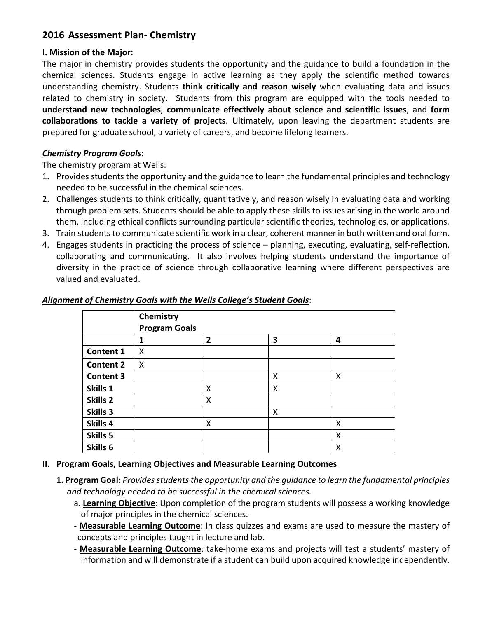# **2016 Assessment Plan- Chemistry**

### **I. Mission of the Major:**

The major in chemistry provides students the opportunity and the guidance to build a foundation in the chemical sciences. Students engage in active learning as they apply the scientific method towards understanding chemistry. Students **think critically and reason wisely** when evaluating data and issues related to chemistry in society. Students from this program are equipped with the tools needed to **understand new technologies**, **communicate effectively about science and scientific issues**, and **form collaborations to tackle a variety of projects**. Ultimately, upon leaving the department students are prepared for graduate school, a variety of careers, and become lifelong learners.

### *Chemistry Program Goals*:

The chemistry program at Wells:

- 1. Provides students the opportunity and the guidance to learn the fundamental principles and technology needed to be successful in the chemical sciences.
- 2. Challenges students to think critically, quantitatively, and reason wisely in evaluating data and working through problem sets. Students should be able to apply these skills to issues arising in the world around them, including ethical conflicts surrounding particular scientific theories, technologies, or applications.
- 3. Train students to communicate scientific work in a clear, coherent manner in both written and oral form.
- 4. Engages students in practicing the process of science planning, executing, evaluating, self-reflection, collaborating and communicating. It also involves helping students understand the importance of diversity in the practice of science through collaborative learning where different perspectives are valued and evaluated.

|                  | Chemistry<br><b>Program Goals</b> |                |   |   |  |
|------------------|-----------------------------------|----------------|---|---|--|
|                  | 1                                 | $\overline{2}$ | 3 | 4 |  |
| <b>Content 1</b> | X                                 |                |   |   |  |
| <b>Content 2</b> | Χ                                 |                |   |   |  |
| <b>Content 3</b> |                                   |                | Χ | X |  |
| Skills 1         |                                   | Χ              | X |   |  |
| Skills 2         |                                   | X              |   |   |  |
| Skills 3         |                                   |                | X |   |  |
| Skills 4         |                                   | X              |   | Χ |  |
| Skills 5         |                                   |                |   | X |  |
| Skills 6         |                                   |                |   | Χ |  |

### *Alignment of Chemistry Goals with the Wells College's Student Goals*:

- **II. Program Goals, Learning Objectives and Measurable Learning Outcomes**
	- **1. Program Goal**: Provides students the opportunity and the guidance to learn the fundamental principles and technology needed to be successful in the chemical sciences.
		- a. Learning Objective: Upon completion of the program students will possess a working knowledge of major principles in the chemical sciences.
		- **Measurable Learning Outcome**: In class quizzes and exams are used to measure the mastery of concepts and principles taught in lecture and lab.
		- Measurable Learning Outcome: take-home exams and projects will test a students' mastery of information and will demonstrate if a student can build upon acquired knowledge independently.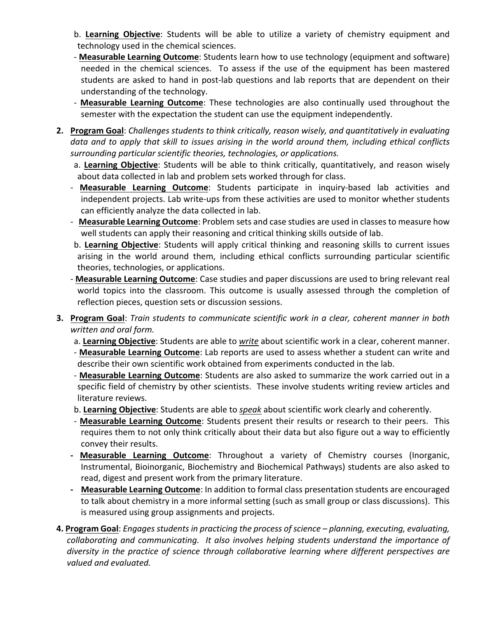- b. Learning Objective: Students will be able to utilize a variety of chemistry equipment and technology used in the chemical sciences.
- **Measurable Learning Outcome**: Students learn how to use technology (equipment and software) needed in the chemical sciences. To assess if the use of the equipment has been mastered students are asked to hand in post-lab questions and lab reports that are dependent on their understanding of the technology.
- Measurable Learning Outcome: These technologies are also continually used throughout the semester with the expectation the student can use the equipment independently.
- **2. Program Goal**: *Challenges students to think critically, reason wisely, and quantitatively in evaluating* data and to apply that skill to issues arising in the world around them, including ethical conflicts surrounding particular scientific theories, technologies, or applications.
	- a. Learning Objective: Students will be able to think critically, quantitatively, and reason wisely about data collected in lab and problem sets worked through for class.
	- **Measurable Learning Outcome**: Students participate in inquiry-based lab activities and independent projects. Lab write-ups from these activities are used to monitor whether students can efficiently analyze the data collected in lab.
	- **Measurable Learning Outcome**: Problem sets and case studies are used in classes to measure how well students can apply their reasoning and critical thinking skills outside of lab.
	- b. Learning Objective: Students will apply critical thinking and reasoning skills to current issues arising in the world around them, including ethical conflicts surrounding particular scientific theories, technologies, or applications.
	- **Measurable Learning Outcome**: Case studies and paper discussions are used to bring relevant real world topics into the classroom. This outcome is usually assessed through the completion of reflection pieces, question sets or discussion sessions.
- **3. Program Goal**: *Train students to communicate scientific work in a clear, coherent manner in both written and oral form.*
	- a. Learning Objective: Students are able to *write* about scientific work in a clear, coherent manner.
	- Measurable Learning Outcome: Lab reports are used to assess whether a student can write and describe their own scientific work obtained from experiments conducted in the lab.
	- **Measurable Learning Outcome**: Students are also asked to summarize the work carried out in a specific field of chemistry by other scientists. These involve students writing review articles and literature reviews.
	- b. Learning Objective: Students are able to *speak* about scientific work clearly and coherently.
	- Measurable Learning Outcome: Students present their results or research to their peers. This requires them to not only think critically about their data but also figure out a way to efficiently convey their results.
	- **Measurable Learning Outcome**: Throughout a variety of Chemistry courses (Inorganic, Instrumental, Bioinorganic, Biochemistry and Biochemical Pathways) students are also asked to read, digest and present work from the primary literature.
	- **- Measurable Learning Outcome**: In addition to formal class presentation students are encouraged to talk about chemistry in a more informal setting (such as small group or class discussions). This is measured using group assignments and projects.
- **4. Program Goal**: *Engages students in practicing the process of science planning, executing, evaluating, collaborating and communicating.* It also involves helping students understand the importance of *diversity* in the practice of science through collaborative learning where different perspectives are *valued and evaluated.*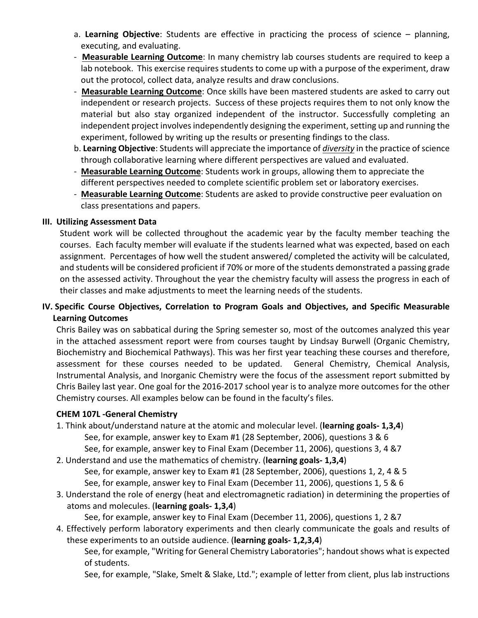- a. Learning Objective: Students are effective in practicing the process of science planning, executing, and evaluating.
- **Measurable Learning Outcome**: In many chemistry lab courses students are required to keep a lab notebook. This exercise requires students to come up with a purpose of the experiment, draw out the protocol, collect data, analyze results and draw conclusions.
- Measurable Learning Outcome: Once skills have been mastered students are asked to carry out independent or research projects. Success of these projects requires them to not only know the material but also stay organized independent of the instructor. Successfully completing an independent project involves independently designing the experiment, setting up and running the experiment, followed by writing up the results or presenting findings to the class.
- b. Learning Objective: Students will appreciate the importance of *diversity* in the practice of science through collaborative learning where different perspectives are valued and evaluated.
- Measurable Learning Outcome: Students work in groups, allowing them to appreciate the different perspectives needed to complete scientific problem set or laboratory exercises.
- Measurable Learning Outcome: Students are asked to provide constructive peer evaluation on class presentations and papers.

### **III. Utilizing Assessment Data**

Student work will be collected throughout the academic year by the faculty member teaching the courses. Each faculty member will evaluate if the students learned what was expected, based on each assignment. Percentages of how well the student answered/ completed the activity will be calculated, and students will be considered proficient if 70% or more of the students demonstrated a passing grade on the assessed activity. Throughout the year the chemistry faculty will assess the progress in each of their classes and make adjustments to meet the learning needs of the students.

## **IV.** Specific Course Objectives, Correlation to Program Goals and Objectives, and Specific Measurable **Learning Outcomes**

Chris Bailey was on sabbatical during the Spring semester so, most of the outcomes analyzed this year in the attached assessment report were from courses taught by Lindsay Burwell (Organic Chemistry, Biochemistry and Biochemical Pathways). This was her first year teaching these courses and therefore, assessment for these courses needed to be updated. General Chemistry, Chemical Analysis, Instrumental Analysis, and Inorganic Chemistry were the focus of the assessment report submitted by Chris Bailey last year. One goal for the 2016-2017 school year is to analyze more outcomes for the other Chemistry courses. All examples below can be found in the faculty's files.

### **CHEM 107L -General Chemistry**

- 1. Think about/understand nature at the atomic and molecular level. (learning goals- 1,3,4) See, for example, answer key to Exam #1 (28 September, 2006), questions 3 & 6 See, for example, answer key to Final Exam (December 11, 2006), questions 3, 4 &7
- 2. Understand and use the mathematics of chemistry. (learning goals- 1,3,4) See, for example, answer key to Exam #1 (28 September, 2006), questions 1, 2, 4 & 5 See, for example, answer key to Final Exam (December 11, 2006), questions 1, 5 & 6
- 3. Understand the role of energy (heat and electromagnetic radiation) in determining the properties of atoms and molecules. (**learning goals- 1,3,4**)

See, for example, answer key to Final Exam (December 11, 2006), questions 1, 2 &7

4. Effectively perform laboratory experiments and then clearly communicate the goals and results of these experiments to an outside audience. (**learning goals-1,2,3,4**)

See, for example, "Writing for General Chemistry Laboratories"; handout shows what is expected of students.

See, for example, "Slake, Smelt & Slake, Ltd."; example of letter from client, plus lab instructions